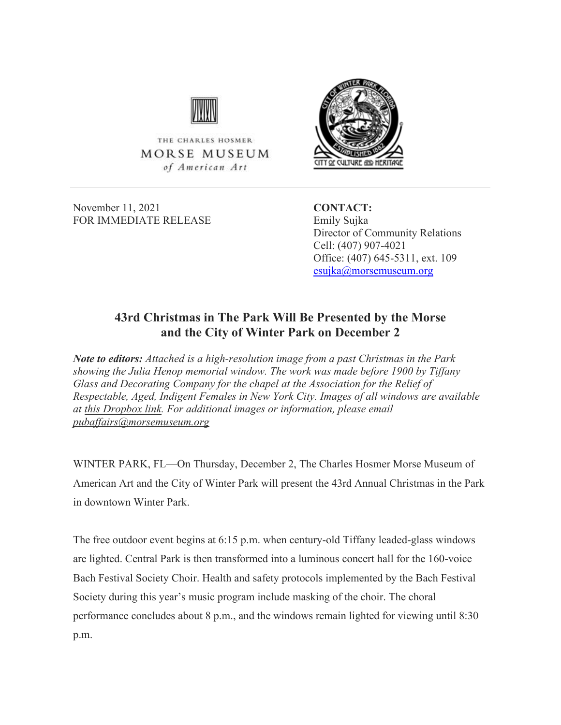

THE CHARLES HOSMER MORSE MUSEUM of American Art



November 11, 2021 FOR IMMEDIATE RELEASE

**CONTACT:** Emily Sujka Director of Community Relations Cell: (407) 907-4021 Office: (407) 645-5311, ext. 109 [esujka@morsemuseum.org](mailto:esujka@morsemuseum.org)

## **43rd Christmas in The Park Will Be Presented by the Morse and the City of Winter Park on December 2**

*Note to editors: Attached is a high-resolution image from a past Christmas in the Park showing the Julia Henop memorial window. The work was made before 1900 by Tiffany Glass and Decorating Company for the chapel at the Association for the Relief of Respectable, Aged, Indigent Females in New York City. Images of all windows are available at [this Dropbox link.](https://www.dropbox.com/sh/gxtyzuxwlhxg8a4/AACjzFNlwIARB1e0NC1FWhpGa?dl=0) For additional images or information, please email [pubaffairs@morsemuseum.org](mailto:pubaffairs@morsemuseum.org)*

WINTER PARK, FL—On Thursday, December 2, The Charles Hosmer Morse Museum of American Art and the City of Winter Park will present the 43rd Annual Christmas in the Park in downtown Winter Park.

The free outdoor event begins at 6:15 p.m. when century-old Tiffany leaded-glass windows are lighted. Central Park is then transformed into a luminous concert hall for the 160-voice Bach Festival Society Choir. Health and safety protocols implemented by the Bach Festival Society during this year's music program include masking of the choir. The choral performance concludes about 8 p.m., and the windows remain lighted for viewing until 8:30 p.m.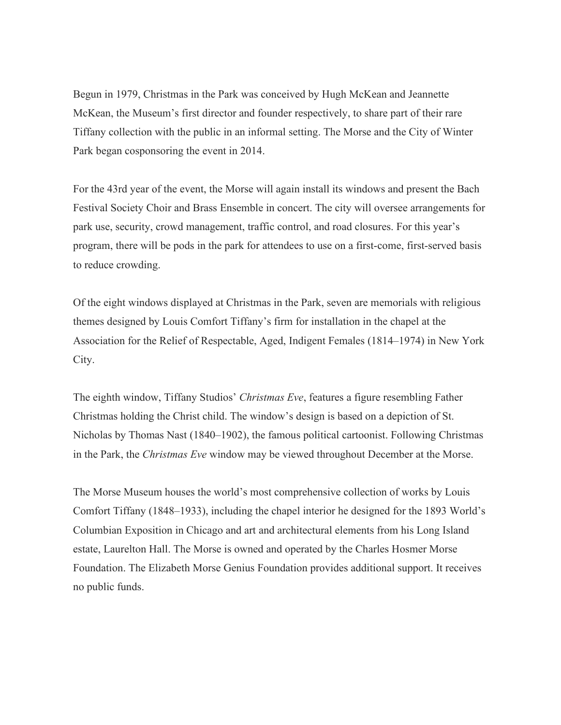Begun in 1979, Christmas in the Park was conceived by Hugh McKean and Jeannette McKean, the Museum's first director and founder respectively, to share part of their rare Tiffany collection with the public in an informal setting. The Morse and the City of Winter Park began cosponsoring the event in 2014.

For the 43rd year of the event, the Morse will again install its windows and present the Bach Festival Society Choir and Brass Ensemble in concert. The city will oversee arrangements for park use, security, crowd management, traffic control, and road closures. For this year's program, there will be pods in the park for attendees to use on a first-come, first-served basis to reduce crowding.

Of the eight windows displayed at Christmas in the Park, seven are memorials with religious themes designed by Louis Comfort Tiffany's firm for installation in the chapel at the Association for the Relief of Respectable, Aged, Indigent Females (1814–1974) in New York City.

The eighth window, Tiffany Studios' *Christmas Eve*, features a figure resembling Father Christmas holding the Christ child. The window's design is based on a depiction of St. Nicholas by Thomas Nast (1840–1902), the famous political cartoonist. Following Christmas in the Park, the *Christmas Eve* window may be viewed throughout December at the Morse.

The Morse Museum houses the world's most comprehensive collection of works by Louis Comfort Tiffany (1848–1933), including the chapel interior he designed for the 1893 World's Columbian Exposition in Chicago and art and architectural elements from his Long Island estate, Laurelton Hall. The Morse is owned and operated by the Charles Hosmer Morse Foundation. The Elizabeth Morse Genius Foundation provides additional support. It receives no public funds.